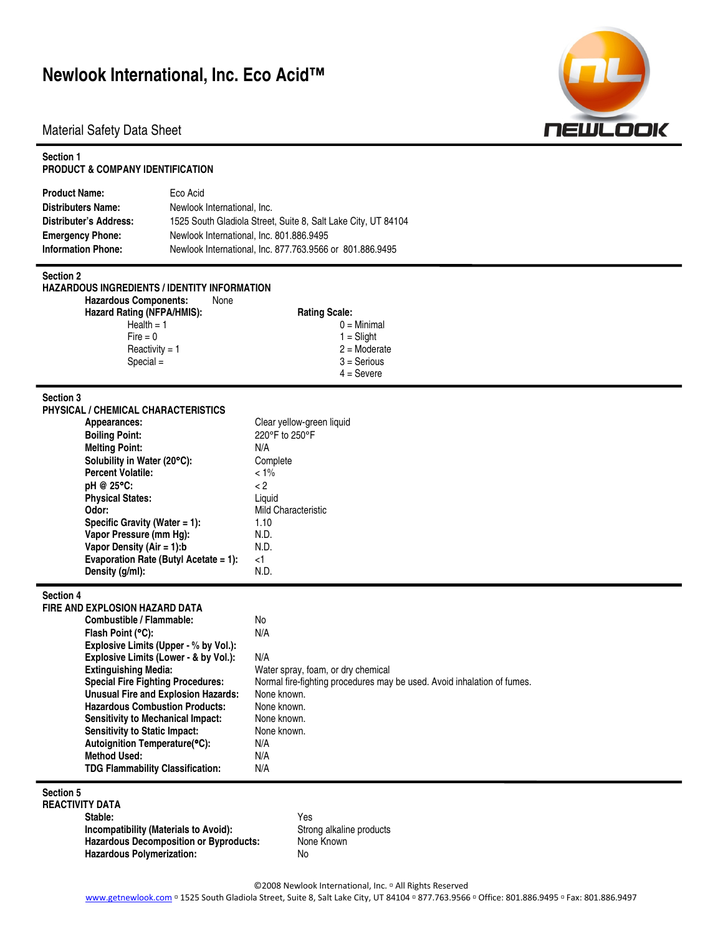## **Newlook International, Inc. Eco Acid™**

Material Safety Data Sheet



| Section 1<br><b>PRODUCT &amp; COMPANY IDENTIFICATION</b>                                                                                                                                                                                                                                                                                                                                                                                                                                                                                |                                                                                                                                                                                                                           |  |  |
|-----------------------------------------------------------------------------------------------------------------------------------------------------------------------------------------------------------------------------------------------------------------------------------------------------------------------------------------------------------------------------------------------------------------------------------------------------------------------------------------------------------------------------------------|---------------------------------------------------------------------------------------------------------------------------------------------------------------------------------------------------------------------------|--|--|
| <b>Product Name:</b><br><b>Distributers Name:</b><br><b>Distributer's Address:</b><br><b>Emergency Phone:</b><br><b>Information Phone:</b>                                                                                                                                                                                                                                                                                                                                                                                              | Eco Acid<br>Newlook International, Inc.<br>1525 South Gladiola Street, Suite 8, Salt Lake City, UT 84104<br>Newlook International, Inc. 801.886.9495<br>Newlook International, Inc. 877.763.9566 or 801.886.9495          |  |  |
| <b>Section 2</b><br><b>HAZARDOUS INGREDIENTS / IDENTITY INFORMATION</b><br><b>Hazardous Components:</b><br>Hazard Rating (NFPA/HMIS):<br>$Health = 1$<br>$Fire = 0$<br>Reactivity = $1$<br>$Special =$                                                                                                                                                                                                                                                                                                                                  | None<br><b>Rating Scale:</b><br>$0 =$ Minimal<br>$1 =$ Slight<br>$2 =$ Moderate<br>$3 =$ Serious<br>$4 =$ Severe                                                                                                          |  |  |
| Section 3<br><b>PHYSICAL / CHEMICAL CHARACTERISTICS</b><br>Appearances:<br><b>Boiling Point:</b><br><b>Melting Point:</b><br>Solubility in Water (20°C):<br><b>Percent Volatile:</b><br>pH @ 25°C:<br><b>Physical States:</b><br>Odor:<br>Specific Gravity (Water = 1):<br>Vapor Pressure (mm Hg):<br>Vapor Density (Air = 1):b<br>Evaporation Rate (Butyl Acetate = 1):<br>Density (g/ml):                                                                                                                                             | Clear yellow-green liquid<br>220°F to 250°F<br>N/A<br>Complete<br>$< 1\%$<br>$\lt 2$<br>Liquid<br>Mild Characteristic<br>1.10<br>N.D.<br>N.D.<br><1<br>N.D.                                                               |  |  |
| Section 4<br>FIRE AND EXPLOSION HAZARD DATA<br>Combustible / Flammable:<br>Flash Point (°C):<br>Explosive Limits (Upper - % by Vol.):<br>Explosive Limits (Lower - & by Vol.):<br><b>Extinguishing Media:</b><br><b>Special Fire Fighting Procedures:</b><br><b>Unusual Fire and Explosion Hazards:</b><br><b>Hazardous Combustion Products:</b><br><b>Sensitivity to Mechanical Impact:</b><br><b>Sensitivity to Static Impact:</b><br>Autoignition Temperature(°C):<br><b>Method Used:</b><br><b>TDG Flammability Classification:</b> | <b>No</b><br>N/A<br>N/A<br>Water spray, foam, or dry chemical<br>Normal fire-fighting procedures may be used. Avoid inhalation of fumes.<br>None known.<br>None known.<br>None known.<br>None known.<br>N/A<br>N/A<br>N/A |  |  |
| Section 5<br><b>REACTIVITY DATA</b>                                                                                                                                                                                                                                                                                                                                                                                                                                                                                                     |                                                                                                                                                                                                                           |  |  |

 **Stable:** Yes **Incompatibility (Materials to Avoid):** Strong alkaline products **Hazardous Decomposition or Byproducts:** None Known **Hazardous Polymerization:**  $\overrightarrow{ }$  No

©2008 Newlook International, Inc. <sup>□</sup> All Rights Reserved